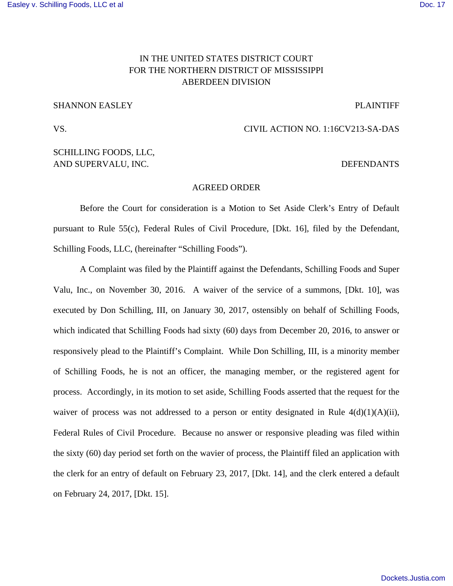# IN THE UNITED STATES DISTRICT COURT FOR THE NORTHERN DISTRICT OF MISSISSIPPI ABERDEEN DIVISION

### SHANNON EASLEY PLAINTIFF

## VS. CIVIL ACTION NO. 1:16CV213-SA-DAS

## SCHILLING FOODS, LLC, AND SUPERVALU, INC. DEFENDANTS

### AGREED ORDER

 Before the Court for consideration is a Motion to Set Aside Clerk's Entry of Default pursuant to Rule 55(c), Federal Rules of Civil Procedure, [Dkt. 16], filed by the Defendant, Schilling Foods, LLC, (hereinafter "Schilling Foods").

 A Complaint was filed by the Plaintiff against the Defendants, Schilling Foods and Super Valu, Inc., on November 30, 2016. A waiver of the service of a summons, [Dkt. 10], was executed by Don Schilling, III, on January 30, 2017, ostensibly on behalf of Schilling Foods, which indicated that Schilling Foods had sixty (60) days from December 20, 2016, to answer or responsively plead to the Plaintiff's Complaint. While Don Schilling, III, is a minority member of Schilling Foods, he is not an officer, the managing member, or the registered agent for process. Accordingly, in its motion to set aside, Schilling Foods asserted that the request for the waiver of process was not addressed to a person or entity designated in Rule  $4(d)(1)(A)(ii)$ , Federal Rules of Civil Procedure. Because no answer or responsive pleading was filed within the sixty (60) day period set forth on the wavier of process, the Plaintiff filed an application with the clerk for an entry of default on February 23, 2017, [Dkt. 14], and the clerk entered a default on February 24, 2017, [Dkt. 15].